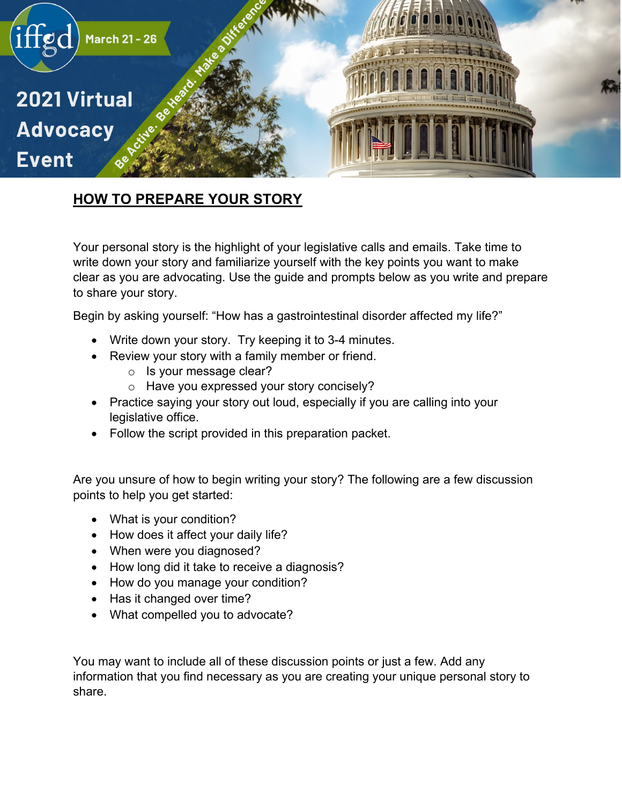

## **HOW TO PREPARE YOUR STORY**

Your personal story is the highlight of your legislative calls and emails. Take time to write down your story and familiarize yourself with the key points you want to make clear as you are advocating. Use the guide and prompts below as you write and prepare to share your story.

Begin by asking yourself: "How has a gastrointestinal disorder affected my life?"

- Write down your story. Try keeping it to 3-4 minutes.
- Review your story with a family member or friend.
	- o Is your message clear?
	- o Have you expressed your story concisely?
- Practice saying your story out loud, especially if you are calling into your legislative office.
- Follow the script provided in this preparation packet.

Are you unsure of how to begin writing your story? The following are a few discussion points to help you get started:

- What is your condition?
- How does it affect your daily life?
- When were you diagnosed?
- How long did it take to receive a diagnosis?
- How do you manage your condition?
- Has it changed over time?
- What compelled you to advocate?

You may want to include all of these discussion points or just a few. Add any information that you find necessary as you are creating your unique personal story to share.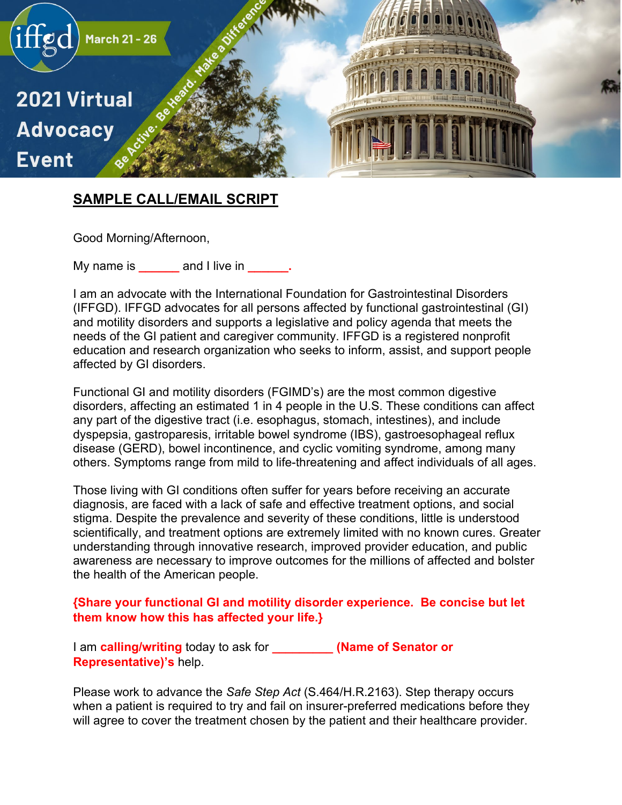

## **SAMPLE CALL/EMAIL SCRIPT**

Good Morning/Afternoon,

My name is **and I live in**   $\blacksquare$ 

I am an advocate with the International Foundation for Gastrointestinal Disorders (IFFGD). IFFGD advocates for all persons affected by functional gastrointestinal (GI) and motility disorders and supports a legislative and policy agenda that meets the needs of the GI patient and caregiver community. IFFGD is a registered nonprofit education and research organization who seeks to inform, assist, and support people affected by GI disorders.

Functional GI and motility disorders (FGIMD's) are the most common digestive disorders, affecting an estimated 1 in 4 people in the U.S. These conditions can affect any part of the digestive tract (i.e. esophagus, stomach, intestines), and include dyspepsia, gastroparesis, irritable bowel syndrome (IBS), gastroesophageal reflux disease (GERD), bowel incontinence, and cyclic vomiting syndrome, among many others. Symptoms range from mild to life-threatening and affect individuals of all ages.

Those living with GI conditions often suffer for years before receiving an accurate diagnosis, are faced with a lack of safe and effective treatment options, and social stigma. Despite the prevalence and severity of these conditions, little is understood scientifically, and treatment options are extremely limited with no known cures. Greater understanding through innovative research, improved provider education, and public awareness are necessary to improve outcomes for the millions of affected and bolster the health of the American people.

## **{Share your functional GI and motility disorder experience. Be concise but let them know how this has affected your life.}**

I am **calling/writing** today to ask for **\_\_\_\_\_\_\_\_\_ (Name of Senator or Representative)'s** help.

Please work to advance the *Safe Step Act* (S.464/H.R.2163). Step therapy occurs when a patient is required to try and fail on insurer-preferred medications before they will agree to cover the treatment chosen by the patient and their healthcare provider.